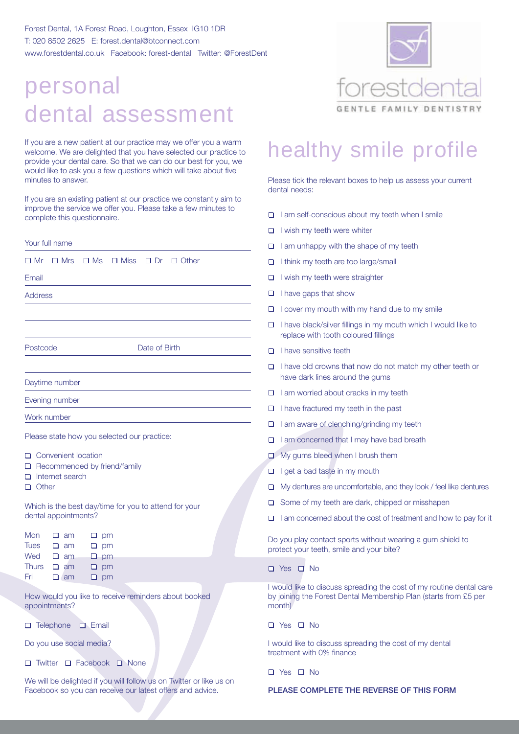Forest Dental, 1A Forest Road, Loughton, Essex IG10 1DR T: 020 8502 2625 E: forest.dental@btconnect.com www.forestdental.co.uk Facebook: forest-dental Twitter: @ForestDent

## personal dental assessment

If you are a new patient at our practice may we offer you a warm welcome. We are delighted that you have selected our practice to provide your dental care. So that we can do our best for you, we would like to ask you a few questions which will take about five minutes to answer.

If you are an existing patient at our practice we constantly aim to improve the service we offer you. Please take a few minutes to complete this questionnaire.

| Your full name                                                                                                   |  |  |  |  |
|------------------------------------------------------------------------------------------------------------------|--|--|--|--|
| $\Box$ Ms $\Box$ Miss $\Box$ Dr $\Box$ Other<br>□ Mr<br>$\Box$ Mrs                                               |  |  |  |  |
| Email                                                                                                            |  |  |  |  |
| <b>Address</b>                                                                                                   |  |  |  |  |
|                                                                                                                  |  |  |  |  |
|                                                                                                                  |  |  |  |  |
| Date of Birth<br>Postcode                                                                                        |  |  |  |  |
|                                                                                                                  |  |  |  |  |
| Daytime number                                                                                                   |  |  |  |  |
| Evening number                                                                                                   |  |  |  |  |
| Work number                                                                                                      |  |  |  |  |
| Please state how you selected our practice:                                                                      |  |  |  |  |
| □ Convenient location<br>□ Recommended by friend/family<br>Internet search<br>П.<br>$\Box$ Other                 |  |  |  |  |
| Which is the best day/time for you to attend for your<br>dental appointments?                                    |  |  |  |  |
| Mon<br>□<br>am<br>$\sqcup$ pm<br><b>Tues</b><br>$\Box$ am<br>$\square$ pm<br>Wed<br>$\square$ am<br>$\square$ pm |  |  |  |  |
| <b>Thurs</b><br>$\square$ am<br>pm<br>ц.<br>Fri<br>$\Box$ am<br>$\square$ pm                                     |  |  |  |  |
| How would you like to receive reminders about booked<br>appointments?                                            |  |  |  |  |
| Telephone<br>$\Box$ Email<br>□                                                                                   |  |  |  |  |
| Do you use social media?                                                                                         |  |  |  |  |
| Twitter <b>□</b> Facebook<br>$\Box$<br>$\Box$ None                                                               |  |  |  |  |

We will be delighted if you will follow us on Twitter or like us on Facebook so you can receive our latest offers and advice.



### healthy smile profile

Please tick the relevant boxes to help us assess your current dental needs:

- $\Box$  I am self-conscious about my teeth when I smile
- $\Box$  I wish my teeth were whiter
- $\Box$  I am unhappy with the shape of my teeth
- $\Box$  I think my teeth are too large/small
- $\Box$  I wish my teeth were straighter
- $\Box$  I have gaps that show
- $\Box$  I cover my mouth with my hand due to my smile
- $\Box$  I have black/silver fillings in my mouth which I would like to replace with tooth coloured fillings
- $\Pi$  I have sensitive teeth
- $\Box$  I have old crowns that now do not match my other teeth or have dark lines around the gums
- $\Box$  I am worried about cracks in my teeth
- $\Box$  I have fractured my teeth in the past
- $\Box$  I am aware of clenching/grinding my teeth
- $\Box$  I am concerned that I may have bad breath
- **D** My gums bleed when I brush them
- $\Box$  I get a bad taste in my mouth
- $\Box$  My dentures are uncomfortable, and they look / feel like dentures
- $\Box$  Some of my teeth are dark, chipped or misshapen
- $\Box$  I am concerned about the cost of treatment and how to pay for it

Do you play contact sports without wearing a gum shield to protect your teeth, smile and your bite?

 $\Box$  Yes  $\Box$  No

I would like to discuss spreading the cost of my routine dental care by joining the Forest Dental Membership Plan (starts from £5 per month)

 $\Box$  Yes  $\Box$  No

I would like to discuss spreading the cost of my dental treatment with 0% finance

 $\Box$  Yes  $\Box$  No

#### PLEASE COMPLETE THE REVERSE OF THIS FORM